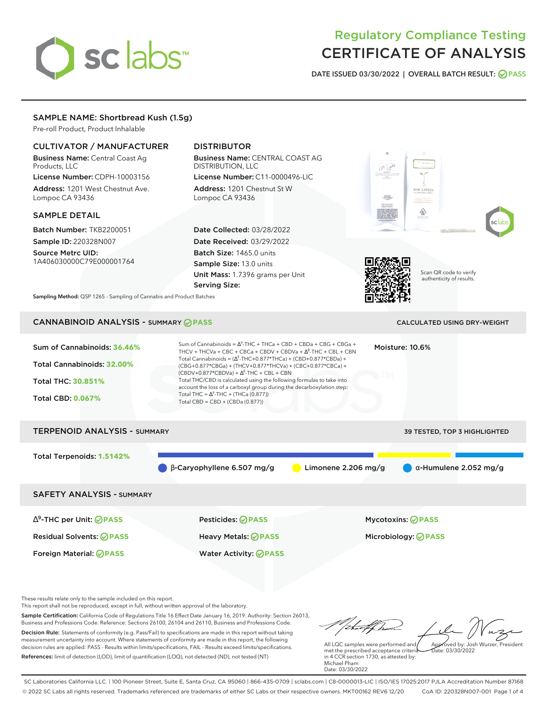# sclabs<sup>\*</sup>

# Regulatory Compliance Testing CERTIFICATE OF ANALYSIS

**DATE ISSUED 03/30/2022 | OVERALL BATCH RESULT: PASS**

# SAMPLE NAME: Shortbread Kush (1.5g)

Pre-roll Product, Product Inhalable

# CULTIVATOR / MANUFACTURER

Business Name: Central Coast Ag Products, LLC License Number: CDPH-10003156

Address: 1201 West Chestnut Ave. Lompoc CA 93436

#### SAMPLE DETAIL

Batch Number: TKB2200051 Sample ID: 220328N007

Source Metrc UID: 1A406030000C79E000001764

# DISTRIBUTOR

Business Name: CENTRAL COAST AG DISTRIBUTION, LLC License Number: C11-0000496-LIC

Address: 1201 Chestnut St W Lompoc CA 93436

Date Collected: 03/28/2022 Date Received: 03/29/2022 Batch Size: 1465.0 units Sample Size: 13.0 units Unit Mass: 1.7396 grams per Unit Serving Size:







Scan QR code to verify authenticity of results.

**Sampling Method:** QSP 1265 - Sampling of Cannabis and Product Batches

# CANNABINOID ANALYSIS - SUMMARY **PASS** CALCULATED USING DRY-WEIGHT

| Sum of Cannabinoids: 36.46%<br>Total Cannabinoids: 32.00%<br><b>Total THC: 30.851%</b><br><b>Total CBD: 0.067%</b> | Total THC = $\Delta^9$ -THC + (THCa (0.877))<br>Total CBD = CBD + (CBDa (0.877)) | Sum of Cannabinoids = $\Delta^9$ -THC + THCa + CBD + CBDa + CBG + CBGa +<br>Moisture: 10.6%<br>THCV + THCVa + CBC + CBCa + CBDV + CBDVa + $\Delta^8$ -THC + CBL + CBN<br>Total Cannabinoids = $(\Delta^9$ -THC+0.877*THCa) + (CBD+0.877*CBDa) +<br>(CBG+0.877*CBGa) + (THCV+0.877*THCVa) + (CBC+0.877*CBCa) +<br>$(CBDV+0.877*CBDVa) + \Delta^8$ -THC + CBL + CBN<br>Total THC/CBD is calculated using the following formulas to take into<br>account the loss of a carboxyl group during the decarboxylation step: |                                     |  |  |
|--------------------------------------------------------------------------------------------------------------------|----------------------------------------------------------------------------------|---------------------------------------------------------------------------------------------------------------------------------------------------------------------------------------------------------------------------------------------------------------------------------------------------------------------------------------------------------------------------------------------------------------------------------------------------------------------------------------------------------------------|-------------------------------------|--|--|
| <b>TERPENOID ANALYSIS - SUMMARY</b>                                                                                |                                                                                  |                                                                                                                                                                                                                                                                                                                                                                                                                                                                                                                     | <b>39 TESTED, TOP 3 HIGHLIGHTED</b> |  |  |
| Total Terpenoids: 1.5142%                                                                                          | $\beta$ -Caryophyllene 6.507 mg/g                                                | Limonene $2.206$ mg/g                                                                                                                                                                                                                                                                                                                                                                                                                                                                                               | $\alpha$ -Humulene 2.052 mg/g       |  |  |
| <b>SAFETY ANALYSIS - SUMMARY</b>                                                                                   |                                                                                  |                                                                                                                                                                                                                                                                                                                                                                                                                                                                                                                     |                                     |  |  |
|                                                                                                                    |                                                                                  |                                                                                                                                                                                                                                                                                                                                                                                                                                                                                                                     |                                     |  |  |

Residual Solvents: **PASS** Heavy Metals: **PASS** Microbiology: **PASS**

∆ 9 -THC per Unit: **PASS** Pesticides: **PASS** Mycotoxins: **PASS**

Foreign Material: **PASS** Water Activity: **PASS**

These results relate only to the sample included on this report.

This report shall not be reproduced, except in full, without written approval of the laboratory.

Sample Certification: California Code of Regulations Title 16 Effect Date January 16, 2019. Authority: Section 26013, Business and Professions Code. Reference: Sections 26100, 26104 and 26110, Business and Professions Code. Decision Rule: Statements of conformity (e.g. Pass/Fail) to specifications are made in this report without taking measurement uncertainty into account. Where statements of conformity are made in this report, the following decision rules are applied: PASS - Results within limits/specifications, FAIL - Results exceed limits/specifications.

References: limit of detection (LOD), limit of quantification (LOQ), not detected (ND), not tested (NT)

tuffha Approved by: Josh Wurzer, President

 $hat: 03/30/2022$ 

All LQC samples were performed and met the prescribed acceptance criteria in 4 CCR section 1730, as attested by: Michael Pham Date: 03/30/2022

SC Laboratories California LLC. | 100 Pioneer Street, Suite E, Santa Cruz, CA 95060 | 866-435-0709 | sclabs.com | C8-0000013-LIC | ISO/IES 17025:2017 PJLA Accreditation Number 87168 © 2022 SC Labs all rights reserved. Trademarks referenced are trademarks of either SC Labs or their respective owners. MKT00162 REV6 12/20 CoA ID: 220328N007-001 Page 1 of 4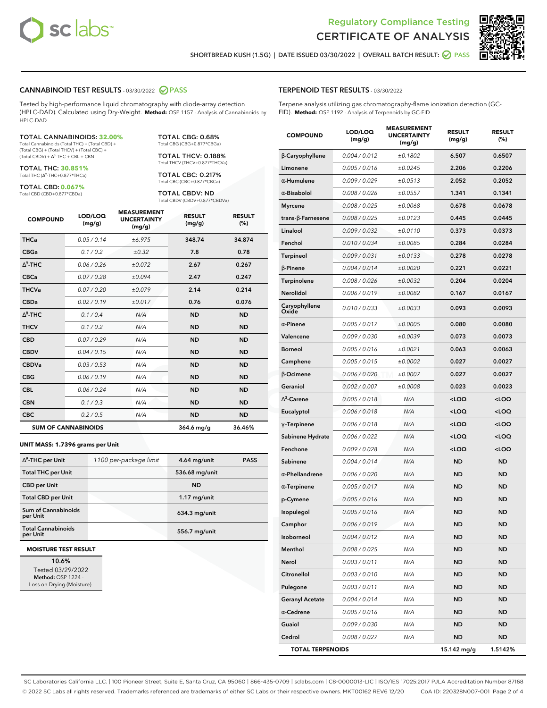



**SHORTBREAD KUSH (1.5G) | DATE ISSUED 03/30/2022 | OVERALL BATCH RESULT: PASS**

#### **CANNABINOID TEST RESULTS** - 03/30/2022 **PASS**

Tested by high-performance liquid chromatography with diode-array detection (HPLC-DAD). Calculated using Dry-Weight. **Method:** QSP 1157 - Analysis of Cannabinoids by HPLC-DAD

#### TOTAL CANNABINOIDS: **32.00%**

Total Cannabinoids (Total THC) + (Total CBD) + (Total CBG) + (Total THCV) + (Total CBC) +  $(Total CBDV) +  $\Delta^8$ -THC + CBL + CBN$ 

TOTAL THC: **30.851%** Total THC (Ƽ-THC+0.877\*THCa)

TOTAL CBD: **0.067%** Total CBD (CBD+0.877\*CBDa)

TOTAL CBG: 0.68% Total CBG (CBG+0.877\*CBGa)

TOTAL THCV: 0.188% Total THCV (THCV+0.877\*THCVa)

TOTAL CBC: 0.217% Total CBC (CBC+0.877\*CBCa)

TOTAL CBDV: ND Total CBDV (CBDV+0.877\*CBDVa)

| <b>COMPOUND</b> | LOD/LOQ<br>(mg/g)          | <b>MEASUREMENT</b><br><b>UNCERTAINTY</b><br>(mg/g) | <b>RESULT</b><br>(mg/g) | <b>RESULT</b><br>(%) |
|-----------------|----------------------------|----------------------------------------------------|-------------------------|----------------------|
| <b>THCa</b>     | 0.05/0.14                  | ±6.975                                             | 348.74                  | 34.874               |
| <b>CBGa</b>     | 0.1 / 0.2                  | ±0.32                                              | 7.8                     | 0.78                 |
| $\Delta^9$ -THC | 0.06 / 0.26                | ±0.072                                             | 2.67                    | 0.267                |
| <b>CBCa</b>     | 0.07/0.28                  | ±0.094                                             | 2.47                    | 0.247                |
| <b>THCVa</b>    | 0.07/0.20                  | ±0.079                                             | 2.14                    | 0.214                |
| <b>CBDa</b>     | 0.02 / 0.19                | ±0.017                                             | 0.76                    | 0.076                |
| $\wedge^8$ -THC | 0.1 / 0.4                  | N/A                                                | <b>ND</b>               | <b>ND</b>            |
| <b>THCV</b>     | 0.1/0.2                    | N/A                                                | <b>ND</b>               | <b>ND</b>            |
| <b>CBD</b>      | 0.07/0.29                  | N/A                                                | <b>ND</b>               | <b>ND</b>            |
| <b>CBDV</b>     | 0.04/0.15                  | N/A                                                | <b>ND</b>               | <b>ND</b>            |
| <b>CBDVa</b>    | 0.03/0.53                  | N/A                                                | <b>ND</b>               | <b>ND</b>            |
| <b>CBG</b>      | 0.06/0.19                  | N/A                                                | <b>ND</b>               | <b>ND</b>            |
| <b>CBL</b>      | 0.06 / 0.24                | N/A                                                | <b>ND</b>               | <b>ND</b>            |
| <b>CBN</b>      | 0.1/0.3                    | N/A                                                | <b>ND</b>               | <b>ND</b>            |
| <b>CBC</b>      | 0.2 / 0.5                  | N/A                                                | <b>ND</b>               | <b>ND</b>            |
|                 | <b>SUM OF CANNABINOIDS</b> |                                                    | $364.6$ mg/g            | 36.46%               |

#### **UNIT MASS: 1.7396 grams per Unit**

| $\Delta^9$ -THC per Unit               | 1100 per-package limit | $4.64$ mg/unit | <b>PASS</b> |
|----------------------------------------|------------------------|----------------|-------------|
| <b>Total THC per Unit</b>              |                        | 536.68 mg/unit |             |
| <b>CBD per Unit</b>                    |                        | <b>ND</b>      |             |
| <b>Total CBD per Unit</b>              |                        | $1.17$ mg/unit |             |
| <b>Sum of Cannabinoids</b><br>per Unit |                        | 634.3 mg/unit  |             |
| <b>Total Cannabinoids</b><br>per Unit  |                        | 556.7 mg/unit  |             |

#### **MOISTURE TEST RESULT**

**10.6%** Tested 03/29/2022 **Method:** QSP 1224 - Loss on Drying (Moisture)

#### **TERPENOID TEST RESULTS** - 03/30/2022

Terpene analysis utilizing gas chromatography-flame ionization detection (GC-FID). **Method:** QSP 1192 - Analysis of Terpenoids by GC-FID

| <b>COMPOUND</b>         | LOD/LOQ<br>(mg/g) | <b>MEASUREMENT</b><br><b>UNCERTAINTY</b><br>(mg/g) | <b>RESULT</b><br>(mg/g)                          | <b>RESULT</b><br>(%) |
|-------------------------|-------------------|----------------------------------------------------|--------------------------------------------------|----------------------|
| β-Caryophyllene         | 0.004 / 0.012     | ±0.1802                                            | 6.507                                            | 0.6507               |
| Limonene                | 0.005 / 0.016     | ±0.0245                                            | 2.206                                            | 0.2206               |
| $\alpha$ -Humulene      | 0.009/0.029       | ±0.0513                                            | 2.052                                            | 0.2052               |
| $\alpha$ -Bisabolol     | 0.008 / 0.026     | ±0.0557                                            | 1.341                                            | 0.1341               |
| <b>Myrcene</b>          | 0.008 / 0.025     | ±0.0068                                            | 0.678                                            | 0.0678               |
| trans-ß-Farnesene       | 0.008 / 0.025     | ±0.0123                                            | 0.445                                            | 0.0445               |
| Linalool                | 0.009 / 0.032     | ±0.0110                                            | 0.373                                            | 0.0373               |
| Fenchol                 | 0.010 / 0.034     | ±0.0085                                            | 0.284                                            | 0.0284               |
| Terpineol               | 0.009 / 0.031     | ±0.0133                                            | 0.278                                            | 0.0278               |
| $\beta$ -Pinene         | 0.004 / 0.014     | ±0.0020                                            | 0.221                                            | 0.0221               |
| Terpinolene             | 0.008 / 0.026     | ±0.0032                                            | 0.204                                            | 0.0204               |
| Nerolidol               | 0.006 / 0.019     | ±0.0082                                            | 0.167                                            | 0.0167               |
| Caryophyllene<br>Oxide  | 0.010 / 0.033     | ±0.0033                                            | 0.093                                            | 0.0093               |
| $\alpha$ -Pinene        | 0.005 / 0.017     | ±0.0005                                            | 0.080                                            | 0.0080               |
| Valencene               | 0.009 / 0.030     | ±0.0039                                            | 0.073                                            | 0.0073               |
| <b>Borneol</b>          | 0.005 / 0.016     | ±0.0021                                            | 0.063                                            | 0.0063               |
| Camphene                | 0.005 / 0.015     | ±0.0002                                            | 0.027                                            | 0.0027               |
| β-Ocimene               | 0.006 / 0.020     | ±0.0007                                            | 0.027                                            | 0.0027               |
| Geraniol                | 0.002 / 0.007     | ±0.0008                                            | 0.023                                            | 0.0023               |
| $\Delta^3$ -Carene      | 0.005 / 0.018     | N/A                                                | <loq< th=""><th><loq< th=""></loq<></th></loq<>  | <loq< th=""></loq<>  |
| Eucalyptol              | 0.006 / 0.018     | N/A                                                | <loq< th=""><th><loq< th=""></loq<></th></loq<>  | <loq< th=""></loq<>  |
| $\gamma$ -Terpinene     | 0.006 / 0.018     | N/A                                                | <loq< th=""><th><loq< th=""></loq<></th></loq<>  | <loq< th=""></loq<>  |
| Sabinene Hydrate        | 0.006 / 0.022     | N/A                                                | <loq< th=""><th><loq< th=""></loq<></th></loq<>  | <loq< th=""></loq<>  |
| Fenchone                | 0.009 / 0.028     | N/A                                                | <loq< th=""><th><math>&lt;</math>LOQ</th></loq<> | $<$ LOQ              |
| Sabinene                | 0.004 / 0.014     | N/A                                                | <b>ND</b>                                        | ND                   |
| $\alpha$ -Phellandrene  | 0.006 / 0.020     | N/A                                                | <b>ND</b>                                        | ND                   |
| $\alpha$ -Terpinene     | 0.005 / 0.017     | N/A                                                | ND                                               | <b>ND</b>            |
| p-Cymene                | 0.005 / 0.016     | N/A                                                | <b>ND</b>                                        | <b>ND</b>            |
| Isopulegol              | 0.005 / 0.016     | N/A                                                | ND                                               | <b>ND</b>            |
| Camphor                 | 0.006 / 0.019     | N/A                                                | ND                                               | <b>ND</b>            |
| Isoborneol              | 0.004 / 0.012     | N/A                                                | ND                                               | ND                   |
| Menthol                 | 0.008 / 0.025     | N/A                                                | ND                                               | ND                   |
| Nerol                   | 0.003 / 0.011     | N/A                                                | <b>ND</b>                                        | ND                   |
| Citronellol             | 0.003 / 0.010     | N/A                                                | <b>ND</b>                                        | ND                   |
| Pulegone                | 0.003 / 0.011     | N/A                                                | ND                                               | ND                   |
| <b>Geranyl Acetate</b>  | 0.004 / 0.014     | N/A                                                | ND                                               | ND                   |
| $\alpha$ -Cedrene       | 0.005 / 0.016     | N/A                                                | <b>ND</b>                                        | <b>ND</b>            |
| Guaiol                  | 0.009 / 0.030     | N/A                                                | ND                                               | ND                   |
| Cedrol                  | 0.008 / 0.027     | N/A                                                | <b>ND</b>                                        | ND                   |
| <b>TOTAL TERPENOIDS</b> |                   |                                                    | 15.142 mg/g                                      | 1.5142%              |

SC Laboratories California LLC. | 100 Pioneer Street, Suite E, Santa Cruz, CA 95060 | 866-435-0709 | sclabs.com | C8-0000013-LIC | ISO/IES 17025:2017 PJLA Accreditation Number 87168 © 2022 SC Labs all rights reserved. Trademarks referenced are trademarks of either SC Labs or their respective owners. MKT00162 REV6 12/20 CoA ID: 220328N007-001 Page 2 of 4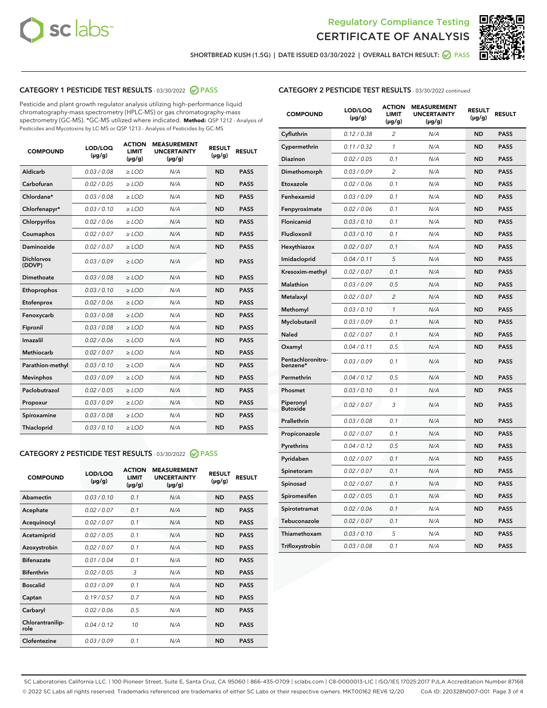



**SHORTBREAD KUSH (1.5G) | DATE ISSUED 03/30/2022 | OVERALL BATCH RESULT: PASS**

# **CATEGORY 1 PESTICIDE TEST RESULTS** - 03/30/2022 **PASS**

Pesticide and plant growth regulator analysis utilizing high-performance liquid chromatography-mass spectrometry (HPLC-MS) or gas chromatography-mass spectrometry (GC-MS). \*GC-MS utilized where indicated. **Method:** QSP 1212 - Analysis of Pesticides and Mycotoxins by LC-MS or QSP 1213 - Analysis of Pesticides by GC-MS

| 0.03 / 0.08<br><b>ND</b><br>Aldicarb<br>$\ge$ LOD<br>N/A<br><b>PASS</b><br>Carbofuran<br>0.02 / 0.05<br><b>ND</b><br><b>PASS</b><br>$>$ LOD<br>N/A<br>Chlordane*<br>0.03 / 0.08<br>N/A<br><b>ND</b><br><b>PASS</b><br>$>$ LOD<br>Chlorfenapyr*<br>0.03/0.10<br>N/A<br><b>ND</b><br><b>PASS</b><br>> LOD<br>0.02 / 0.06<br>$\ge$ LOD<br>N/A<br><b>ND</b><br><b>PASS</b><br>Chlorpyrifos<br>Coumaphos<br>0.02 / 0.07<br>$\geq$ LOD<br>N/A<br><b>ND</b><br><b>PASS</b><br>Daminozide<br>0.02/0.07<br>$>$ LOD<br>N/A<br><b>ND</b><br><b>PASS</b><br><b>Dichlorvos</b><br>0.03/0.09<br>$>$ LOD<br>N/A<br><b>ND</b><br><b>PASS</b><br>(DDVP)<br>0.03/0.08<br>Dimethoate<br>$>$ LOD<br>N/A<br><b>ND</b><br><b>PASS</b><br>0.03/0.10<br><b>ND</b><br><b>PASS</b><br>Ethoprophos<br>$>$ LOD<br>N/A<br>0.02 / 0.06<br>N/A<br><b>ND</b><br><b>PASS</b><br>Etofenprox<br>$\ge$ LOD<br>0.03/0.08<br>N/A<br><b>ND</b><br><b>PASS</b><br>$>$ LOD<br>Fenoxycarb<br>0.03 / 0.08<br>N/A<br><b>ND</b><br><b>PASS</b><br>Fipronil<br>$\ge$ LOD<br>Imazalil<br>0.02/0.06<br>$>$ LOD<br>N/A<br><b>ND</b><br><b>PASS</b><br><b>Methiocarb</b><br>0.02 / 0.07<br><b>ND</b><br><b>PASS</b><br>$\ge$ LOD<br>N/A<br>Parathion-methyl<br>0.03/0.10<br>$\ge$ LOD<br>N/A<br><b>ND</b><br><b>PASS</b><br>0.03/0.09<br>N/A<br><b>PASS</b><br><b>Mevinphos</b><br>$\ge$ LOD<br><b>ND</b><br>Paclobutrazol<br>0.02 / 0.05<br>N/A<br><b>ND</b><br><b>PASS</b><br>$\ge$ LOD<br>0.03/0.09<br>$>$ LOD<br>N/A<br><b>ND</b><br><b>PASS</b><br>Propoxur<br>0.03 / 0.08<br>N/A<br><b>ND</b><br>Spiroxamine<br>$\ge$ LOD<br><b>PASS</b><br>Thiacloprid<br>0.03/0.10<br>N/A<br><b>ND</b><br><b>PASS</b><br>$\ge$ LOD | <b>COMPOUND</b> | LOD/LOQ<br>$(\mu g/g)$ | <b>ACTION</b><br>LIMIT<br>$(\mu g/g)$ | <b>MEASUREMENT</b><br><b>UNCERTAINTY</b><br>$(\mu g/g)$ | <b>RESULT</b><br>$(\mu g/g)$ | <b>RESULT</b> |
|--------------------------------------------------------------------------------------------------------------------------------------------------------------------------------------------------------------------------------------------------------------------------------------------------------------------------------------------------------------------------------------------------------------------------------------------------------------------------------------------------------------------------------------------------------------------------------------------------------------------------------------------------------------------------------------------------------------------------------------------------------------------------------------------------------------------------------------------------------------------------------------------------------------------------------------------------------------------------------------------------------------------------------------------------------------------------------------------------------------------------------------------------------------------------------------------------------------------------------------------------------------------------------------------------------------------------------------------------------------------------------------------------------------------------------------------------------------------------------------------------------------------------------------------------------------------------------------------------------------------------------------------------------------------------|-----------------|------------------------|---------------------------------------|---------------------------------------------------------|------------------------------|---------------|
|                                                                                                                                                                                                                                                                                                                                                                                                                                                                                                                                                                                                                                                                                                                                                                                                                                                                                                                                                                                                                                                                                                                                                                                                                                                                                                                                                                                                                                                                                                                                                                                                                                                                          |                 |                        |                                       |                                                         |                              |               |
|                                                                                                                                                                                                                                                                                                                                                                                                                                                                                                                                                                                                                                                                                                                                                                                                                                                                                                                                                                                                                                                                                                                                                                                                                                                                                                                                                                                                                                                                                                                                                                                                                                                                          |                 |                        |                                       |                                                         |                              |               |
|                                                                                                                                                                                                                                                                                                                                                                                                                                                                                                                                                                                                                                                                                                                                                                                                                                                                                                                                                                                                                                                                                                                                                                                                                                                                                                                                                                                                                                                                                                                                                                                                                                                                          |                 |                        |                                       |                                                         |                              |               |
|                                                                                                                                                                                                                                                                                                                                                                                                                                                                                                                                                                                                                                                                                                                                                                                                                                                                                                                                                                                                                                                                                                                                                                                                                                                                                                                                                                                                                                                                                                                                                                                                                                                                          |                 |                        |                                       |                                                         |                              |               |
|                                                                                                                                                                                                                                                                                                                                                                                                                                                                                                                                                                                                                                                                                                                                                                                                                                                                                                                                                                                                                                                                                                                                                                                                                                                                                                                                                                                                                                                                                                                                                                                                                                                                          |                 |                        |                                       |                                                         |                              |               |
|                                                                                                                                                                                                                                                                                                                                                                                                                                                                                                                                                                                                                                                                                                                                                                                                                                                                                                                                                                                                                                                                                                                                                                                                                                                                                                                                                                                                                                                                                                                                                                                                                                                                          |                 |                        |                                       |                                                         |                              |               |
|                                                                                                                                                                                                                                                                                                                                                                                                                                                                                                                                                                                                                                                                                                                                                                                                                                                                                                                                                                                                                                                                                                                                                                                                                                                                                                                                                                                                                                                                                                                                                                                                                                                                          |                 |                        |                                       |                                                         |                              |               |
|                                                                                                                                                                                                                                                                                                                                                                                                                                                                                                                                                                                                                                                                                                                                                                                                                                                                                                                                                                                                                                                                                                                                                                                                                                                                                                                                                                                                                                                                                                                                                                                                                                                                          |                 |                        |                                       |                                                         |                              |               |
|                                                                                                                                                                                                                                                                                                                                                                                                                                                                                                                                                                                                                                                                                                                                                                                                                                                                                                                                                                                                                                                                                                                                                                                                                                                                                                                                                                                                                                                                                                                                                                                                                                                                          |                 |                        |                                       |                                                         |                              |               |
|                                                                                                                                                                                                                                                                                                                                                                                                                                                                                                                                                                                                                                                                                                                                                                                                                                                                                                                                                                                                                                                                                                                                                                                                                                                                                                                                                                                                                                                                                                                                                                                                                                                                          |                 |                        |                                       |                                                         |                              |               |
|                                                                                                                                                                                                                                                                                                                                                                                                                                                                                                                                                                                                                                                                                                                                                                                                                                                                                                                                                                                                                                                                                                                                                                                                                                                                                                                                                                                                                                                                                                                                                                                                                                                                          |                 |                        |                                       |                                                         |                              |               |
|                                                                                                                                                                                                                                                                                                                                                                                                                                                                                                                                                                                                                                                                                                                                                                                                                                                                                                                                                                                                                                                                                                                                                                                                                                                                                                                                                                                                                                                                                                                                                                                                                                                                          |                 |                        |                                       |                                                         |                              |               |
|                                                                                                                                                                                                                                                                                                                                                                                                                                                                                                                                                                                                                                                                                                                                                                                                                                                                                                                                                                                                                                                                                                                                                                                                                                                                                                                                                                                                                                                                                                                                                                                                                                                                          |                 |                        |                                       |                                                         |                              |               |
|                                                                                                                                                                                                                                                                                                                                                                                                                                                                                                                                                                                                                                                                                                                                                                                                                                                                                                                                                                                                                                                                                                                                                                                                                                                                                                                                                                                                                                                                                                                                                                                                                                                                          |                 |                        |                                       |                                                         |                              |               |
|                                                                                                                                                                                                                                                                                                                                                                                                                                                                                                                                                                                                                                                                                                                                                                                                                                                                                                                                                                                                                                                                                                                                                                                                                                                                                                                                                                                                                                                                                                                                                                                                                                                                          |                 |                        |                                       |                                                         |                              |               |
|                                                                                                                                                                                                                                                                                                                                                                                                                                                                                                                                                                                                                                                                                                                                                                                                                                                                                                                                                                                                                                                                                                                                                                                                                                                                                                                                                                                                                                                                                                                                                                                                                                                                          |                 |                        |                                       |                                                         |                              |               |
|                                                                                                                                                                                                                                                                                                                                                                                                                                                                                                                                                                                                                                                                                                                                                                                                                                                                                                                                                                                                                                                                                                                                                                                                                                                                                                                                                                                                                                                                                                                                                                                                                                                                          |                 |                        |                                       |                                                         |                              |               |
|                                                                                                                                                                                                                                                                                                                                                                                                                                                                                                                                                                                                                                                                                                                                                                                                                                                                                                                                                                                                                                                                                                                                                                                                                                                                                                                                                                                                                                                                                                                                                                                                                                                                          |                 |                        |                                       |                                                         |                              |               |
|                                                                                                                                                                                                                                                                                                                                                                                                                                                                                                                                                                                                                                                                                                                                                                                                                                                                                                                                                                                                                                                                                                                                                                                                                                                                                                                                                                                                                                                                                                                                                                                                                                                                          |                 |                        |                                       |                                                         |                              |               |
|                                                                                                                                                                                                                                                                                                                                                                                                                                                                                                                                                                                                                                                                                                                                                                                                                                                                                                                                                                                                                                                                                                                                                                                                                                                                                                                                                                                                                                                                                                                                                                                                                                                                          |                 |                        |                                       |                                                         |                              |               |
|                                                                                                                                                                                                                                                                                                                                                                                                                                                                                                                                                                                                                                                                                                                                                                                                                                                                                                                                                                                                                                                                                                                                                                                                                                                                                                                                                                                                                                                                                                                                                                                                                                                                          |                 |                        |                                       |                                                         |                              |               |

# **CATEGORY 2 PESTICIDE TEST RESULTS** - 03/30/2022 **PASS**

| <b>COMPOUND</b>          | LOD/LOO<br>$(\mu g/g)$ | <b>ACTION</b><br>LIMIT<br>$(\mu g/g)$ | <b>MEASUREMENT</b><br><b>UNCERTAINTY</b><br>$(\mu g/g)$ | <b>RESULT</b><br>$(\mu g/g)$ | <b>RESULT</b> |  |
|--------------------------|------------------------|---------------------------------------|---------------------------------------------------------|------------------------------|---------------|--|
| Abamectin                | 0.03/0.10              | 0.1                                   | N/A                                                     | <b>ND</b>                    | <b>PASS</b>   |  |
| Acephate                 | 0.02/0.07              | 0.1                                   | N/A                                                     | <b>ND</b>                    | <b>PASS</b>   |  |
| Acequinocyl              | 0.02/0.07              | 0.1                                   | N/A                                                     | <b>ND</b>                    | <b>PASS</b>   |  |
| Acetamiprid              | 0.02 / 0.05            | 0.1                                   | N/A                                                     | <b>ND</b>                    | <b>PASS</b>   |  |
| Azoxystrobin             | 0.02/0.07              | 0.1                                   | N/A                                                     | <b>ND</b>                    | <b>PASS</b>   |  |
| <b>Bifenazate</b>        | 0.01/0.04              | 0.1                                   | N/A                                                     | <b>ND</b>                    | <b>PASS</b>   |  |
| <b>Bifenthrin</b>        | 0.02 / 0.05            | 3                                     | N/A                                                     | <b>ND</b>                    | <b>PASS</b>   |  |
| <b>Boscalid</b>          | 0.03/0.09              | 0.1                                   | N/A                                                     | <b>ND</b>                    | <b>PASS</b>   |  |
| Captan                   | 0.19/0.57              | 0.7                                   | N/A                                                     | <b>ND</b>                    | <b>PASS</b>   |  |
| Carbaryl                 | 0.02 / 0.06            | 0.5                                   | N/A                                                     | <b>ND</b>                    | <b>PASS</b>   |  |
| Chlorantranilip-<br>role | 0.04/0.12              | 10                                    | N/A                                                     | <b>ND</b>                    | <b>PASS</b>   |  |
| Clofentezine             | 0.03/0.09              | 0.1                                   | N/A                                                     | <b>ND</b>                    | <b>PASS</b>   |  |

# **CATEGORY 2 PESTICIDE TEST RESULTS** - 03/30/2022 continued

| <b>COMPOUND</b>               | LOD/LOQ<br>(µg/g) | <b>ACTION</b><br>LIMIT<br>(µg/g) | <b>MEASUREMENT</b><br><b>UNCERTAINTY</b><br>$(\mu g/g)$ | <b>RESULT</b><br>(µg/g) | <b>RESULT</b> |
|-------------------------------|-------------------|----------------------------------|---------------------------------------------------------|-------------------------|---------------|
| Cyfluthrin                    | 0.12 / 0.38       | 2                                | N/A                                                     | <b>ND</b>               | <b>PASS</b>   |
| Cypermethrin                  | 0.11 / 0.32       | $\mathcal{I}$                    | N/A                                                     | <b>ND</b>               | <b>PASS</b>   |
| Diazinon                      | 0.02 / 0.05       | 0.1                              | N/A                                                     | ND                      | <b>PASS</b>   |
| Dimethomorph                  | 0.03 / 0.09       | $\overline{2}$                   | N/A                                                     | <b>ND</b>               | <b>PASS</b>   |
| Etoxazole                     | 0.02 / 0.06       | 0.1                              | N/A                                                     | <b>ND</b>               | <b>PASS</b>   |
| Fenhexamid                    | 0.03 / 0.09       | 0.1                              | N/A                                                     | <b>ND</b>               | <b>PASS</b>   |
| Fenpyroximate                 | 0.02 / 0.06       | 0.1                              | N/A                                                     | <b>ND</b>               | <b>PASS</b>   |
| Flonicamid                    | 0.03 / 0.10       | 0.1                              | N/A                                                     | <b>ND</b>               | <b>PASS</b>   |
| Fludioxonil                   | 0.03 / 0.10       | 0.1                              | N/A                                                     | ND                      | <b>PASS</b>   |
| Hexythiazox                   | 0.02 / 0.07       | 0.1                              | N/A                                                     | <b>ND</b>               | <b>PASS</b>   |
| Imidacloprid                  | 0.04 / 0.11       | 5                                | N/A                                                     | <b>ND</b>               | <b>PASS</b>   |
| Kresoxim-methyl               | 0.02 / 0.07       | 0.1                              | N/A                                                     | <b>ND</b>               | PASS          |
| <b>Malathion</b>              | 0.03 / 0.09       | 0.5                              | N/A                                                     | <b>ND</b>               | <b>PASS</b>   |
| Metalaxyl                     | 0.02 / 0.07       | $\overline{c}$                   | N/A                                                     | <b>ND</b>               | <b>PASS</b>   |
| Methomyl                      | 0.03 / 0.10       | 1                                | N/A                                                     | <b>ND</b>               | <b>PASS</b>   |
| Myclobutanil                  | 0.03 / 0.09       | 0.1                              | N/A                                                     | <b>ND</b>               | <b>PASS</b>   |
| Naled                         | 0.02 / 0.07       | 0.1                              | N/A                                                     | <b>ND</b>               | <b>PASS</b>   |
| Oxamyl                        | 0.04 / 0.11       | 0.5                              | N/A                                                     | <b>ND</b>               | <b>PASS</b>   |
| Pentachloronitro-<br>benzene* | 0.03 / 0.09       | 0.1                              | N/A                                                     | ND                      | PASS          |
| Permethrin                    | 0.04/0.12         | 0.5                              | N/A                                                     | <b>ND</b>               | <b>PASS</b>   |
| Phosmet                       | 0.03 / 0.10       | 0.1                              | N/A                                                     | ND                      | PASS          |
| Piperonyl<br><b>Butoxide</b>  | 0.02 / 0.07       | 3                                | N/A                                                     | <b>ND</b>               | <b>PASS</b>   |
| Prallethrin                   | 0.03 / 0.08       | 0.1                              | N/A                                                     | <b>ND</b>               | <b>PASS</b>   |
| Propiconazole                 | 0.02 / 0.07       | 0.1                              | N/A                                                     | <b>ND</b>               | <b>PASS</b>   |
| Pyrethrins                    | 0.04 / 0.12       | 0.5                              | N/A                                                     | <b>ND</b>               | PASS          |
| Pyridaben                     | 0.02 / 0.07       | 0.1                              | N/A                                                     | <b>ND</b>               | <b>PASS</b>   |
| Spinetoram                    | 0.02 / 0.07       | 0.1                              | N/A                                                     | <b>ND</b>               | <b>PASS</b>   |
| Spinosad                      | 0.02 / 0.07       | 0.1                              | N/A                                                     | <b>ND</b>               | <b>PASS</b>   |
| Spiromesifen                  | 0.02 / 0.05       | 0.1                              | N/A                                                     | <b>ND</b>               | <b>PASS</b>   |
| Spirotetramat                 | 0.02 / 0.06       | 0.1                              | N/A                                                     | <b>ND</b>               | <b>PASS</b>   |
| Tebuconazole                  | 0.02 / 0.07       | 0.1                              | N/A                                                     | <b>ND</b>               | PASS          |
| Thiamethoxam                  | 0.03 / 0.10       | 5                                | N/A                                                     | <b>ND</b>               | <b>PASS</b>   |
| Trifloxystrobin               | 0.03 / 0.08       | 0.1                              | N/A                                                     | <b>ND</b>               | <b>PASS</b>   |

SC Laboratories California LLC. | 100 Pioneer Street, Suite E, Santa Cruz, CA 95060 | 866-435-0709 | sclabs.com | C8-0000013-LIC | ISO/IES 17025:2017 PJLA Accreditation Number 87168 © 2022 SC Labs all rights reserved. Trademarks referenced are trademarks of either SC Labs or their respective owners. MKT00162 REV6 12/20 CoA ID: 220328N007-001 Page 3 of 4